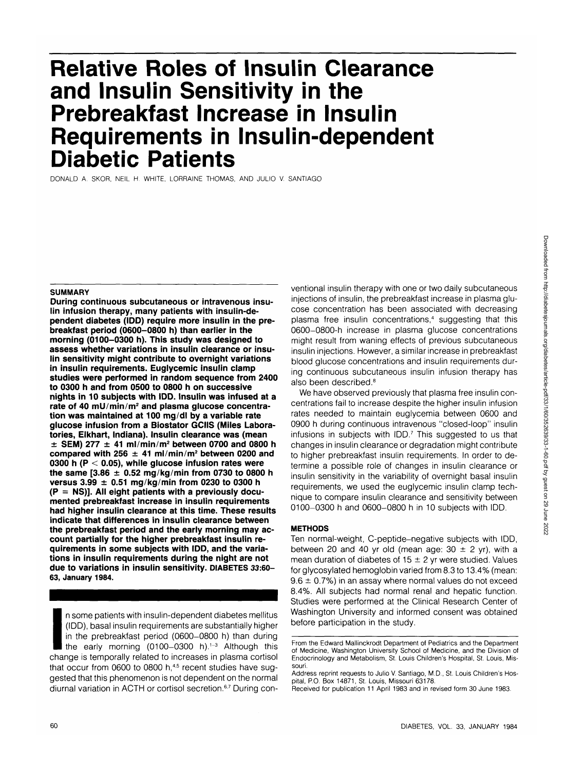# **Relative Roles of Insulin Clearance and Insulin Sensitivity in the Prebreakfast Increase in Insulin Requirements in Insulin-dependent Diabetic Patients**

DONALD A. SKOR, NEIL H. WHITE, LORRAINE THOMAS, AND JULIO V. SANTIAGO

## **SUMMARY**

**During continuous subcutaneous or intravenous insulin infusion therapy, many patients with insulin-dependent diabetes (IDD) require more insulin in the prebreakfast period (0600-0800 h) than earlier in the morning (0100-0300 h). This study was designed to assess whether variations in insulin clearance or insulin sensitivity might contribute to overnight variations in insulin requirements. Euglycemic insulin clamp studies were performed in random sequence from 2400 to 0300 h and from 0500 to 0800 h on successive nights in 10 subjects with IDD. Insulin was infused at a rate of 40 mU/min/m<sup>2</sup> and plasma glucose concentration was maintained at 100 mg/dl by a variable rate glucose infusion from a Biostator GCIIS (Miles Laboratories, Elkhart, Indiana). Insulin clearance was (mean ± SEM) 277 ± 41 ml/min/m<sup>2</sup> between 0700 and 0800 h compared with 256 ± 41 ml/min/m<sup>2</sup> between 0200 and 0300 h (P < 0.05), while glucose infusion rates were the same [3.86 ± 0.52 mg/kg/min from 0730 to 0800 h versus 3.99 ± 0.51 mg/kg/min from 0230 to 0300 h (P = NS)]. All eight patients with a previously documented prebreakfast increase in insulin requirements had higher insulin clearance at this time. These results indicate that differences in insulin clearance between the prebreakfast period and the early morning may account partially for the higher prebreakfast insulin requirements in some subjects with IDD, and the variations in insulin requirements during the night are not due to variations in insulin sensitivity. DIABETES 33:60- 63, January 1984.**

I n some patients with insulin-dependent diabetes mellitus (IDD), basal insulin requirements are substantially higher in the prebreakfast period (0600-0800 h) than during the early morning (0100–0300 h).<sup>1-3</sup> Although this change is temporally related to increases in plasma cortisol that occur from 0600 to 0800 h,<sup>4,5</sup> recent studies have suggested that this phenomenon is not dependent on the normal diurnal variation in ACTH or cortisol secretion.<sup>6,7</sup> During conventional insulin therapy with one or two daily subcutaneous injections of insulin, the prebreakfast increase in plasma glucose concentration has been associated with decreasing plasma free insulin concentrations,<sup>4</sup> suggesting that this 0600-0800-h increase in plasma glucose concentrations might result from waning effects of previous subcutaneous insulin injections. However, a similar increase in prebreakfast blood glucose concentrations and insulin requirements during continuous subcutaneous insulin infusion therapy has also been described.<sup>8</sup>

We have observed previously that plasma free insulin concentrations fail to increase despite the higher insulin infusion rates needed to maintain euglycemia between 0600 and 0900 h during continuous intravenous "closed-loop" insulin infusions in subjects with IDD.7 This suggested to us that changes in insulin clearance or degradation might contribute to higher prebreakfast insulin requirements. In order to determine a possible role of changes in insulin clearance or insulin sensitivity in the variability of overnight basal insulin requirements, we used the euglycemic insulin clamp technique to compare insulin clearance and sensitivity between 0100-0300 h and 0600-0800 h in 10 subjects with IDD.

# **METHODS**

Ten normal-weight, C-peptide-negative subjects with IDD, between 20 and 40 yr old (mean age:  $30 \pm 2$  yr), with a mean duration of diabetes of  $15 \pm 2$  yr were studied. Values for glycosylated hemoglobin varied from 8.3 to 13.4% (mean:  $9.6 \pm 0.7$ %) in an assay where normal values do not exceed 8.4%. All subjects had normal renal and hepatic function. Studies were performed at the Clinical Research Center of Washington University and informed consent was obtained before participation in the study.

From the Edward Mallinckrodt Department of Pediatrics and the Department of Medicine, Washington University School of Medicine, and the Division of Endocrinology and Metabolism, St. Louis Children's Hospital, St. Louis, Missouri.

Address reprint requests to Julio V. Santiago, M.D., St. Louis Children's Hospital, P.O. Box 14871, St. Louis, Missouri 63178.

Received for publication 11 April 1983 and in revised form 30 June 1983.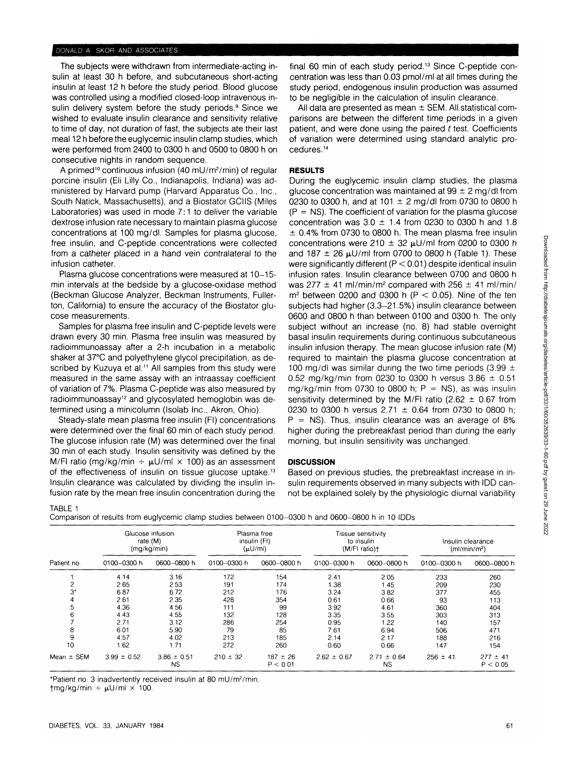#### DONALD A. SKOR AND ASSOCIATES

The subjects were withdrawn from intermediate-acting insulin at least 30 h before, and subcutaneous short-acting insulin at least 12 h before the study period. Blood glucose was controlled using a modified closed-loop intravenous insulin delivery system before the study periods.<sup>9</sup> Since we wished to evaluate insulin clearance and sensitivity relative to time of day, not duration of fast, the subjects ate their last meal 12 h before the euglycemic insulin clamp studies, which were performed from 2400 to 0300 h and 0500 to 0800 h on consecutive nights in random sequence.

A primed<sup>10</sup> continuous infusion (40 mU/m<sup>2</sup>/min) of regular porcine insulin (Eli Lilly Co., Indianapolis, Indiana) was administered by Harvard pump (Harvard Apparatus Co., Inc., South Natick, Massachusetts), and a Biostator GCIIS (Miles Laboratories) was used in mode 7:1 to deliver the variable dextrose infusion rate necessary to maintain plasma glucose concentrations at 100 mg/dl. Samples for plasma glucose, free insulin, and C-peptide concentrations were collected from a catheter placed in a hand vein contralateral to the infusion catheter.

Plasma glucose concentrations were measured at 10-15min intervals at the bedside by a glucose-oxidase method (Beckman Glucose Analyzer, Beckman Instruments, Fullerton, California) to ensure the accuracy of the Biostator glucose measurements.

Samples for plasma free insulin and C-peptide levels were drawn every 30 min. Plasma free insulin was measured by radioimmunoassay after a 2-h incubation in a metabolic shaker at 37°C and polyethylene glycol precipitation, as described by Kuzuya et al.<sup>11</sup> All samples from this study were measured in the same assay with an intraassay coefficient of variation of 7%. Plasma C-peptide was also measured by radioimmunoassay<sup>12</sup> and glycosylated hemoglobin was determined using a minicolumn (Isolab Inc., Akron, Ohio).

Steady-state mean plasma free insulin (Fl) concentrations were determined over the final 60 min of each study period. The glucose infusion rate (M) was determined over the final 30 min of each study. Insulin sensitivity was defined by the M/FI ratio (mg/kg/min  $\div \mu U/ml \times 100$ ) as an assessment of the effectiveness of insulin on tissue glucose uptake.<sup>13</sup> Insulin clearance was calculated by dividing the insulin infusion rate by the mean free insulin concentration during the

final 60 min of each study period.<sup>13</sup> Since C-peptide concentration was less than 0.03 pmol/ml at all times during the study period, endogenous insulin production was assumed to be negligible in the calculation of insulin clearance.

All data are presented as mean  $\pm$  SEM. All statistical comparisons are between the different time periods in a given patient, and were done using the paired  $t$  test. Coefficients of variation were determined using standard analytic procedures.<sup>14</sup>

### **RESULTS**

During the euglycemic insulin clamp studies, the plasma glucose concentration was maintained at  $99 \pm 2$  mg/dl from 0230 to 0300 h, and at 101  $\pm$  2 mg/dl from 0730 to 0800 h  $(P = NS)$ . The coefficient of variation for the plasma glucose concentration was  $3.0 \pm 1.4$  from 0230 to 0300 h and 1.8  $\pm$  0.4% from 0730 to 0800 h. The mean plasma free insulin concentrations were 210  $\pm$  32  $\mu$ U/ml from 0200 to 0300 h and 187  $\pm$  26  $\mu$ U/ml from 0700 to 0800 h (Table 1). These were significantly different (P < 0.01) despite identical insulin infusion rates. Insulin clearance between 0700 and 0800 h was  $277 \pm 41$  ml/min/m<sup>2</sup> compared with  $256 \pm 41$  ml/min/  $m<sup>2</sup>$  between 0200 and 0300 h (P  $<$  0.05). Nine of the ten subjects had higher (3.3-21.5%) insulin clearance between 0600 and 0800 h than between 0100 and 0300 h. The only subject without an increase (no. 8) had stable overnight basal insulin requirements during continuous subcutaneous insulin infusion therapy. The mean glucose infusion rate (M) required to maintain the plasma glucose concentration at 100 mg/dl was similar during the two time periods (3.99  $\pm$ 0.52 mg/kg/min from 0230 to 0300 h versus  $3.86 \pm 0.51$ mg/kg/min from 0730 to 0800 h;  $P = NS$ ), as was insulin sensitivity determined by the M/FI ratio  $(2.62 \pm 0.67$  from 0230 to 0300 h versus  $2.71 \pm 0.64$  from 0730 to 0800 h;  $P = NS$ ). Thus, insulin clearance was an average of 8% higher during the prebreakfast period than during the early morning, but insulin sensitivity was unchanged.

# **DISCUSSION**

Based on previous studies, the prebreakfast increase in insulin requirements observed in many subjects with IDD cannot be explained solely by the physiologic diurnal variability

TABLE 1

|  | Comparison of results from euglycemic clamp studies between 0100-0300 h and 0600-0800 h in 10 IDDs |
|--|----------------------------------------------------------------------------------------------------|
|--|----------------------------------------------------------------------------------------------------|

| Patient no.    | Glucose infusion<br>rate (M)<br>(mq/kg/min) |                              | Plasma free<br>insulin (FI)<br>$(\mu U/m)$ |                          | Tissue sensitivity<br>to insulin<br>(M/FI ratio) |                              | Insulin clearance<br>(ml/min/m <sup>2</sup> ) |                          |
|----------------|---------------------------------------------|------------------------------|--------------------------------------------|--------------------------|--------------------------------------------------|------------------------------|-----------------------------------------------|--------------------------|
|                | 0100-0300 h                                 | 0600-0800 h                  | 0100-0300 h                                | 0600-0800 h              | 0100-0300 h                                      | 0600-0800 h                  | 0100-0300 h                                   | 0600-0800 h              |
|                | 4.14                                        | 3.16                         | 172                                        | 154                      | 2.41                                             | 2.05                         | 233                                           | 260                      |
| 2              | 2.65                                        | 2.53                         | 191                                        | 174                      | 1.38                                             | 1.45                         | 209                                           | 230                      |
| $3^*$          | 6.87                                        | 6.72                         | 212                                        | 176                      | 3.24                                             | 3.82                         | 377                                           | 455                      |
|                | 2.61                                        | 2.35                         | 428                                        | 354                      | 0.61                                             | 0.66                         | 93                                            | 113                      |
| 5              | 4.36                                        | 4.56                         | 111                                        | 99                       | 3.92                                             | 4.61                         | 360                                           | 404                      |
|                | 4.43                                        | 4.55                         | 132                                        | 128                      | 3.35                                             | 3.55                         | 303                                           | 313                      |
|                | 2.71                                        | 3.12                         | 286                                        | 254                      | 0.95                                             | 1.22                         | 140                                           | 157                      |
| 8              | 6.01                                        | 5.90                         | 79                                         | 85                       | 7.61                                             | 6.94                         | 506                                           | 471                      |
| 9              | 4.57                                        | 4.02                         | 213                                        | 185                      | 2.14                                             | 2.17                         | 188                                           | 216                      |
| 10             | 1.62                                        | 1.71                         | 272                                        | 260                      | 0.60                                             | 0.66                         | 147                                           | 154                      |
| Mean $\pm$ SEM | $3.99 \pm 0.52$                             | $3.86 \pm 0.51$<br><b>NS</b> | $210 \pm 32$                               | $187 \pm 26$<br>P < 0.01 | $2.62 \pm 0.67$                                  | $2.71 \pm 0.64$<br><b>NS</b> | $256 \pm 41$                                  | $277 \pm 41$<br>P < 0.05 |

Patient no. 3 inadvertently received insulin at 80 mU/m<sup>2</sup>/min.

 $tmg/kg/min \div \mu U/ml \times 100$ .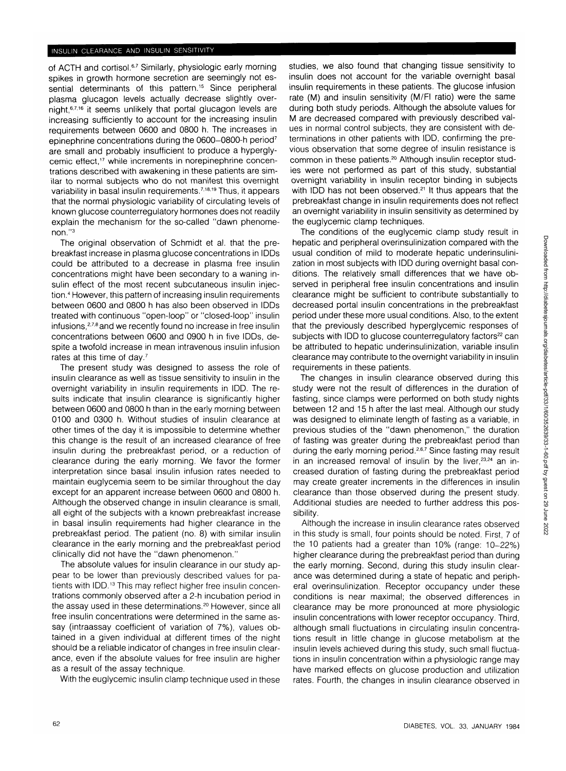of ACTH and cortisol.<sup>6,7</sup> Similarly, physiologic early morning spikes in growth hormone secretion are seemingly not essential determinants of this pattern.<sup>15</sup> Since peripheral plasma glucagon levels actually decrease slightly overnight,<sup>6716</sup> it seems unlikely that portal glucagon levels are increasing sufficiently to account for the increasing insulin requirements between 0600 and 0800 h. The increases in epinephrine concentrations during the 0600-0800-h period<sup>7</sup> are small and probably insufficient to produce a hyperglycemic effect,17 while increments in norepinephrine concentrations described with awakening in these patients are similar to normal subjects who do not manifest this overnight variability in basal insulin requirements.<sup>7,18,19</sup> Thus, it appears that the normal physiologic variability of circulating levels of known glucose counterregulatory hormones does not readily explain the mechanism for the so-called "dawn phenomenon."<sup>3</sup>

The original observation of Schmidt et al. that the prebreakfast increase in plasma glucose concentrations in IDDs could be attributed to a decrease in plasma free insulin concentrations might have been secondary to a waning insulin effect of the most recent subcutaneous insulin injection.<sup>4</sup> However, this pattern of increasing insulin requirements between 0600 and 0800 h has also been observed in IDDs treated with continuous "open-loop" or "closed-loop" insulin infusions,278and we recently found no increase in free insulin concentrations between 0600 and 0900 h in five IDDs, despite a twofold increase in mean intravenous insulin infusion rates at this time of day.7

The present study was designed to assess the role of insulin clearance as well as tissue sensitivity to insulin in the overnight variability in insulin requirements in IDD. The results indicate that insulin clearance is significantly higher between 0600 and 0800 h than in the early morning between 0100 and 0300 h. Without studies of insulin clearance at other times of the day it is impossible to determine whether this change is the result of an increased clearance of free insulin during the prebreakfast period, or a reduction of clearance during the early morning. We favor the former interpretation since basal insulin infusion rates needed to maintain euglycemia seem to be similar throughout the day except for an apparent increase between 0600 and 0800 h. Although the observed change in insulin clearance is small, all eight of the subjects with a known prebreakfast increase in basal insulin requirements had higher clearance in the prebreakfast period. The patient (no. 8) with similar insulin clearance in the early morning and the prebreakfast period clinically did not have the "dawn phenomenon."

The absolute values for insulin clearance in our study appear to be lower than previously described values for patients with IDD.<sup>13</sup> This may reflect higher free insulin concentrations commonly observed after a 2-h incubation period in the assay used in these determinations.<sup>20</sup> However, since all free insulin concentrations were determined in the same assay (intraassay coefficient of variation of 7%), values obtained in a given individual at different times of the night should be a reliable indicator of changes in free insulin clearance, even if the absolute values for free insulin are higher as a result of the assay technique.

With the euglycemic insulin clamp technique used in these

studies, we also found that changing tissue sensitivity to insulin does not account for the variable overnight basal insulin requirements in these patients. The glucose infusion rate (M) and insulin sensitivity (M/FI ratio) were the same during both study periods. Although the absolute values for M are decreased compared with previously described values in normal control subjects, they are consistent with determinations in other patients with IDD, confirming the previous observation that some degree of insulin resistance is common in these patients.<sup>20</sup> Although insulin receptor studies were not performed as part of this study, substantial overnight variability in insulin receptor binding in subjects with IDD has not been observed.<sup>21</sup> It thus appears that the prebreakfast change in insulin requirements does not reflect an overnight variability in insulin sensitivity as determined by the euglycemic clamp techniques.

The conditions of the euglycemic clamp study result in hepatic and peripheral overinsulinization compared with the usual condition of mild to moderate hepatic underinsulinization in most subjects with IDD during overnight basal conditions. The relatively small differences that we have observed in peripheral free insulin concentrations and insulin clearance might be sufficient to contribute substantially to decreased portal insulin concentrations in the prebreakfast period under these more usual conditions. Also, to the extent that the previously described hyperglycemic responses of subjects with IDD to glucose counterregulatory factors<sup>22</sup> can be attributed to hepatic underinsulinization, variable insulin clearance may contribute to the overnight variability in insulin requirements in these patients.

The changes in insulin clearance observed during this study were not the result of differences in the duration of fasting, since clamps were performed on both study nights between 12 and 15 h after the last meal. Although our study was designed to eliminate length of fasting as a variable, in previous studies of the "dawn phenomenon," the duration of fasting was greater during the prebreakfast period than during the early morning period.<sup>2,6,7</sup> Since fasting may result in an increased removal of insulin by the liver,<sup>23,24</sup> an increased duration of fasting during the prebreakfast period may create greater increments in the differences in insulin clearance than those observed during the present study. Additional studies are needed to further address this possibility.

Although the increase in insulin clearance rates observed in this study is small, four points should be noted. First, 7 of the 10 patients had a greater than 10% (range: 10-22%) higher clearance during the prebreakfast period than during the early morning. Second, during this study insulin clearance was determined during a state of hepatic and peripheral overinsulinization. Receptor occupancy under these conditions is near maximal; the observed differences in clearance may be more pronounced at more physiologic insulin concentrations with lower receptor occupancy. Third, although small fluctuations in circulating insulin concentrations result in little change in glucose metabolism at the insulin levels achieved during this study, such small fluctuations in insulin concentration within a physiologic range may have marked effects on glucose production and utilization rates. Fourth, the changes in insulin clearance observed in